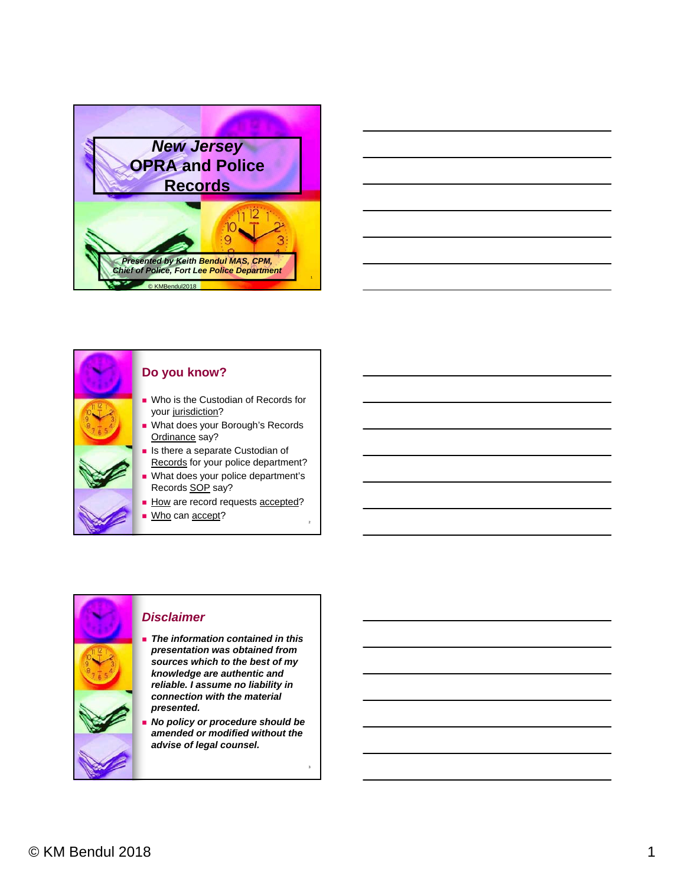





#### **Do you know?**

- **No is the Custodian of Records for** your jurisdiction?
- **No. 3** What does your Borough's Records Ordinance say?
- **In Its there a separate Custodian of** Records for your police department?
- What does your police department's Records SOP say?
- How are record requests accepted?
- Who can accept?

#### *Disclaimer*

- *The information contained in this presentation was obtained from sources which to the best of my knowledge are authentic and reliable. I assume no liability in connection with the material presented.*
- *No policy or procedure should be amended or modified without the advise of legal counsel.*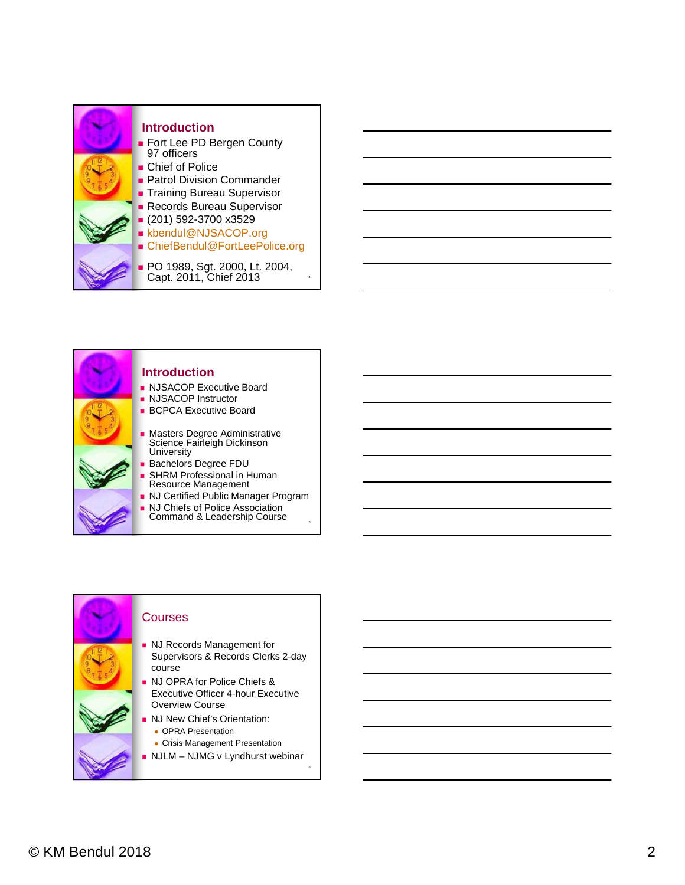





- **NJ Records Management for** Supervisors & Records Clerks 2-day
- **NJ OPRA for Police Chiefs &** Executive Officer 4-hour Executive Overview Course
- **NJ New Chief's Orientation:** • OPRA Presentation
- Crisis Management Presentation
- $\blacksquare$  NJLM NJMG v Lyndhurst webinar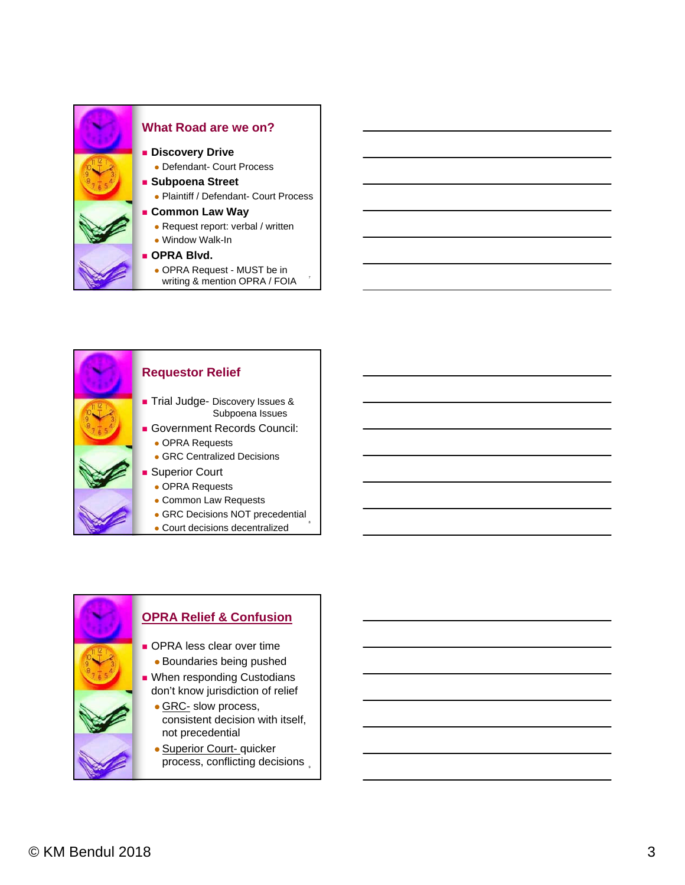



## **Requestor Relief**

- **Trial Judge- Discovery Issues &** Subpoena Issues
- Government Records Council: OPRA Requests
	- **GRC Centralized Decisions**
- **Superior Court** 
	- OPRA Requests
	- Common Law Requests
	- GRC Decisions NOT precedential
	- Court decisions decentralized <sup>8</sup>

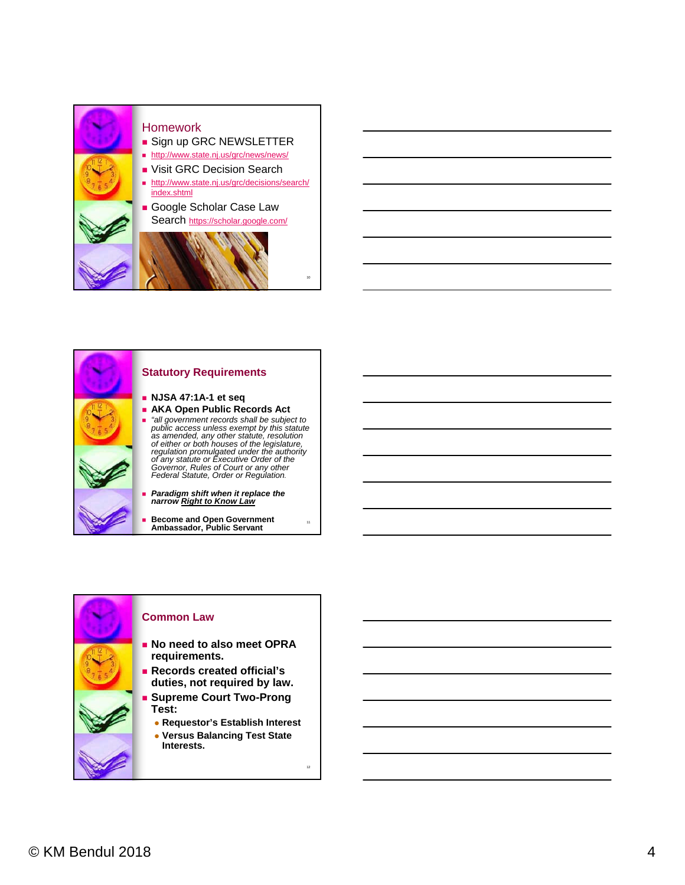



**Become and Open Government Ambassador, Public Servant**



#### **Common Law**

- **No need to also meet OPRA requirements.**
- **Records created official's duties, not required by law.**
- **Supreme Court Two-Prong Test:**
	- **Requestor's Establish Interest Versus Balancing Test State** 
		- **Interests.**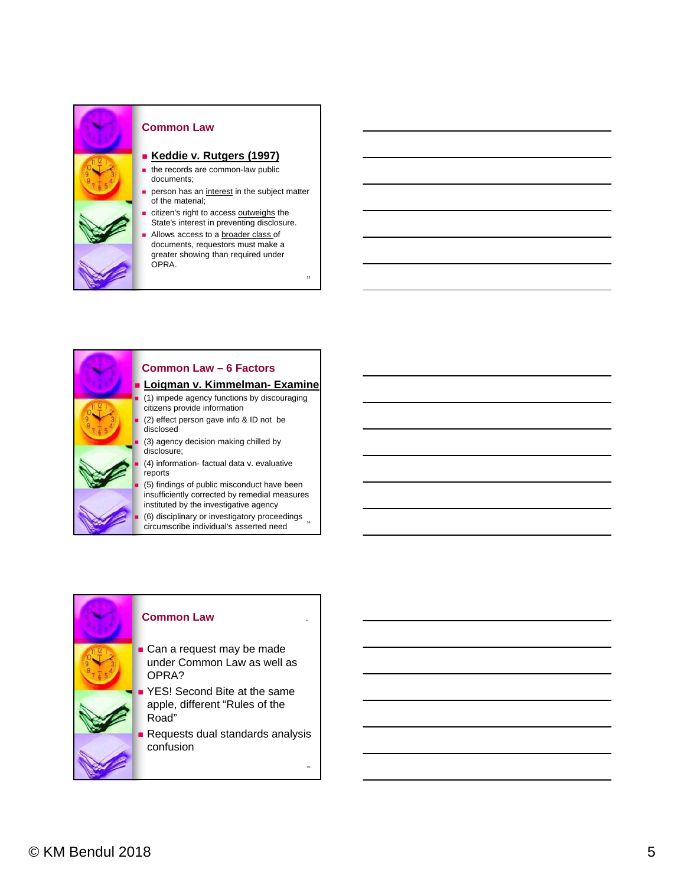

#### **Common Law**

#### **Keddie v. Rutgers (1997)**

- $\blacksquare$  the records are common-law public documents;
- person has an interest in the subject matter of the material;

13

- citizen's right to access outweighs the State's interest in preventing disclosure.
- Allows access to a broader class of documents, requestors must make a greater showing than required under OPRA.



#### **Common Law – 6 Factors**

## **Loigman v. Kimmelman- Examine**

(1) impede agency functions by discouraging

- (2) effect person gave info & ID not be
- (3) agency decision making chilled by
- (4) information- factual data v. evaluative

• (6) disciplinary or investigatory proceedings (5) findings of public misconduct have been insufficiently corrected by remedial measures instituted by the investigative agency

circumscribe individual's asserted need



**Requests dual standards analysis** confusion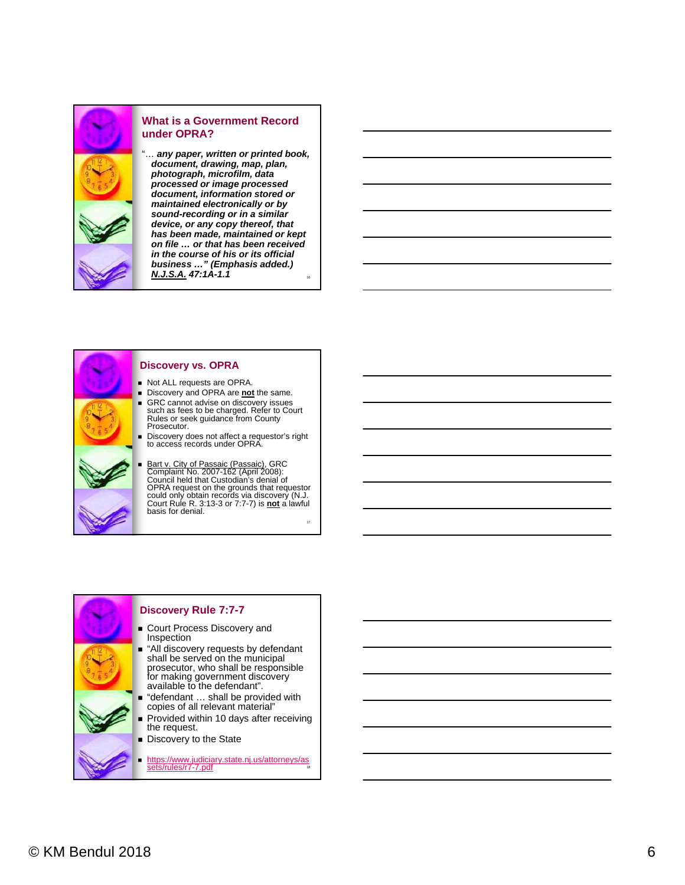

#### **What is a Government Record under OPRA?**

16 "… *any paper, written or printed book, document, drawing, map, plan, photograph, microfilm, data processed or image processed document, information stored or maintained electronically or by sound-recording or in a similar device, or any copy thereof, that has been made, maintained or kept on file … or that has been received in the course of his or its official business …" (Emphasis added.) N.J.S.A. 47:1A-1.1*

# Prosecutor. basis for denial.

#### **Discovery vs. OPRA**

- Not ALL requests are OPRA.
- **Discovery and OPRA are not the same.**
- GRC cannot advise on discovery issues such as fees to be charged. Refer to Court Rules or seek guidance from County
- Discovery does not affect a requestor's right to access records under OPRA.
- Bart v. City of Passaic (Passaic), GRC<br>Complaint No. 2007-162 (April 2008): Council held that Custodian's denial of<br>OPRA request on the grounds that requestor<br>could only obtain records via discovery (N.J.<br>Court Rule R. 3:13-3 or 7:7-7) is <u>not</u> a lawful

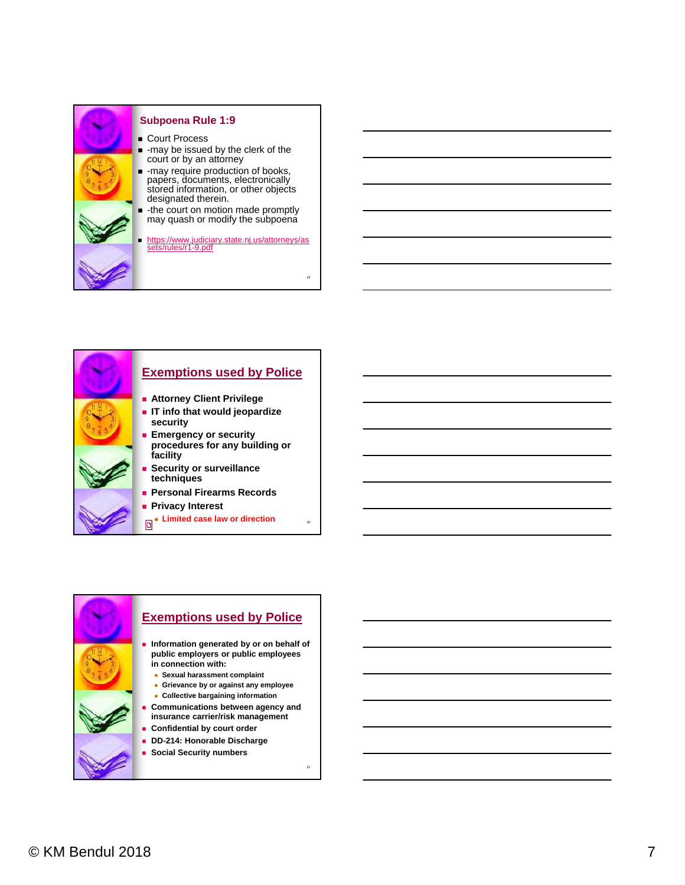

#### **Subpoena Rule 1:9**

- Court Process
- -may be issued by the clerk of the court or by an attorney
- $-$  -may require production of books, papers, documents, electronically stored information, or other objects designated therein.
- the court on motion made promptly may quash or modify the subpoena

https://www.judiciary.state.nj.us/attorneys/as sets/rules/r1-9.pdf

19

20



- **Exemptions used by Police Information generated by or on behalf of public employers or public employees in connection with: Sexual harassment complaint Grievance by or against any employee Collective bargaining information**
	- **Communications between agency and insurance carrier/risk management**
	- **Confidential by court order**
	- **DD-214: Honorable Discharge**
	- **Social Security numbers**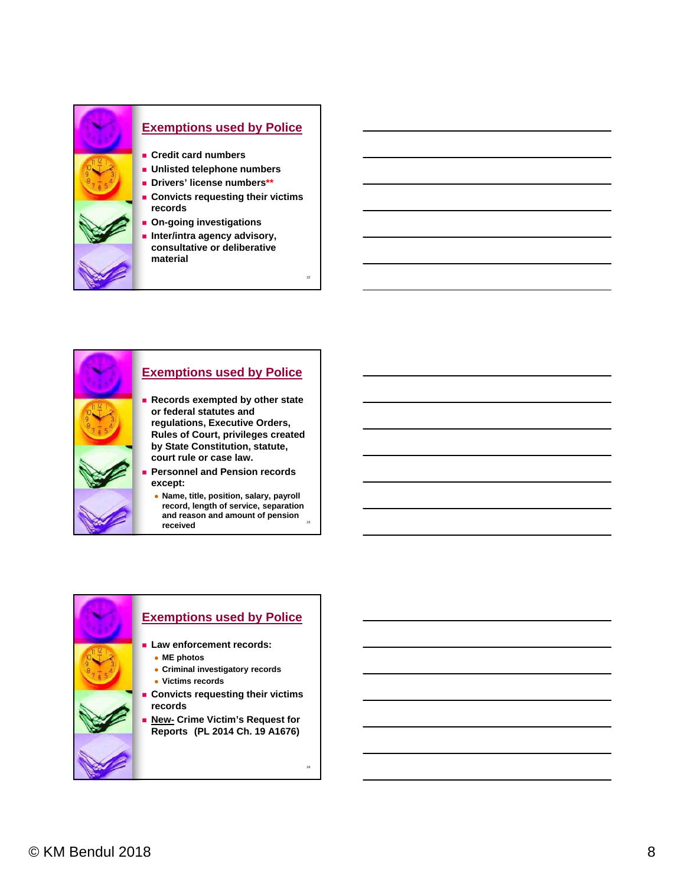



#### **Exemptions used by Police**

- **Records exempted by other state or federal statutes and regulations, Executive Orders, Rules of Court, privileges created by State Constitution, statute, court rule or case law.**
- **Personnel and Pension records** 
	- and reason and amount of pension **Name, title, position, salary, payroll record, length of service, separation received**

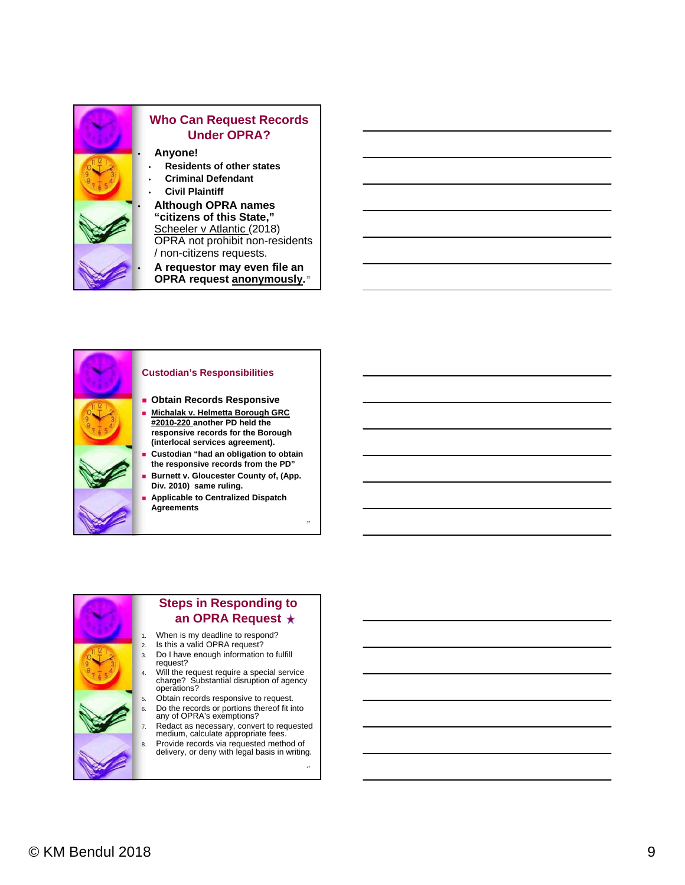

#### **Custodian's Responsibilities**

- **Obtain Records Responsive**
- **Michalak v. Helmetta Borough GRC #2010-220 another PD held the responsive records for the Borough (interlocal services agreement).**
- **Custodian "had an obligation to obtain the responsive records from the PD"**
- **Burnett v. Gloucester County of, (App. Div. 2010) same ruling.**
- **Applicable to Centralized Dispatch Agreements**



### **Steps in Responding to an OPRA Request**

- 1. When is my deadline to respond?
- 2. Is this a valid OPRA request?
- 3. Do I have enough information to fulfill
- 4. Will the request require a special service charge? Substantial disruption of agency
	- Obtain records responsive to request. 6. Do the records or portions thereof fit into
- any of OPRA's exemptions? 7. Redact as necessary, convert to requested
- medium, calculate appropriate fees. 8. Provide records via requested method of
- delivery, or deny with legal basis in writing.

27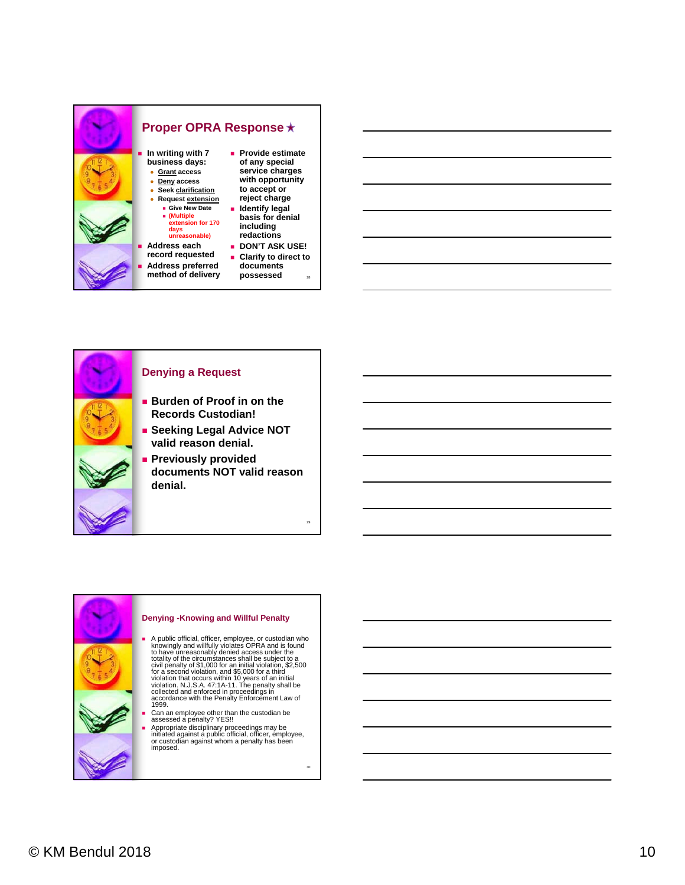



#### **Denying a Request**

- **Burden of Proof in on the Records Custodian!**
- **Seeking Legal Advice NOT valid reason denial.**
- **Previously provided documents NOT valid reason denial.**

#### **Denying -Knowing and Willful Penalty**

- A public official, officer, employee, or custodian who<br>knowingly and willfully violates OPRA and is found<br>to have unreasonably denied access under the<br>totality of the circumstances shall be subject to a<br>civil penalty of \$1
- Can an employee other than the custodian be assessed a penalty? YES!!
- Appropriate disciplinary proceedings may be initiated against a public official, officer, employee, or custodian against whom a penalty has been imposed.

30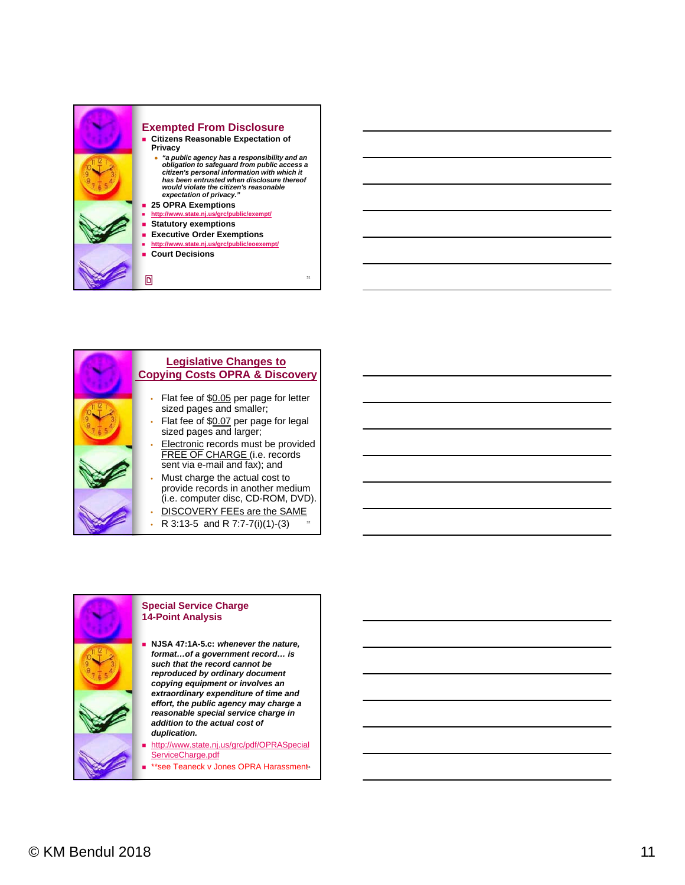

#### **Exempted From Disclosure Citizens Reasonable Expectation of Privacy**

 *"a public agency has a responsibility and an obligation to safeguard from public access a citizen's personal information with which it has been entrusted when disclosure thereof would violate the citizen's reasonable expectation of privacy."*

31

- **25 OPRA Exemptions**
- **http://www.state.nj.us/grc/public/exempt/ Statutory exemptions**
- 
- **Executive Order Exemptions** http://www.state.nj.us/grc/pub
- **Court Decisions**



#### **Special Service Charge 14-Point Analysis**

- **NJSA 47:1A-5.c:** *whenever the nature, format…of a government record… is such that the record cannot be reproduced by ordinary document copying equipment or involves an extraordinary expenditure of time and effort, the public agency may charge a reasonable special service charge in addition to the actual cost of duplication.*
- http://www.state.nj.us/grc/pdf/OPRASpecial ServiceCharge.pdf
- **Ex** \*\*see Teaneck v Jones OPRA Harassments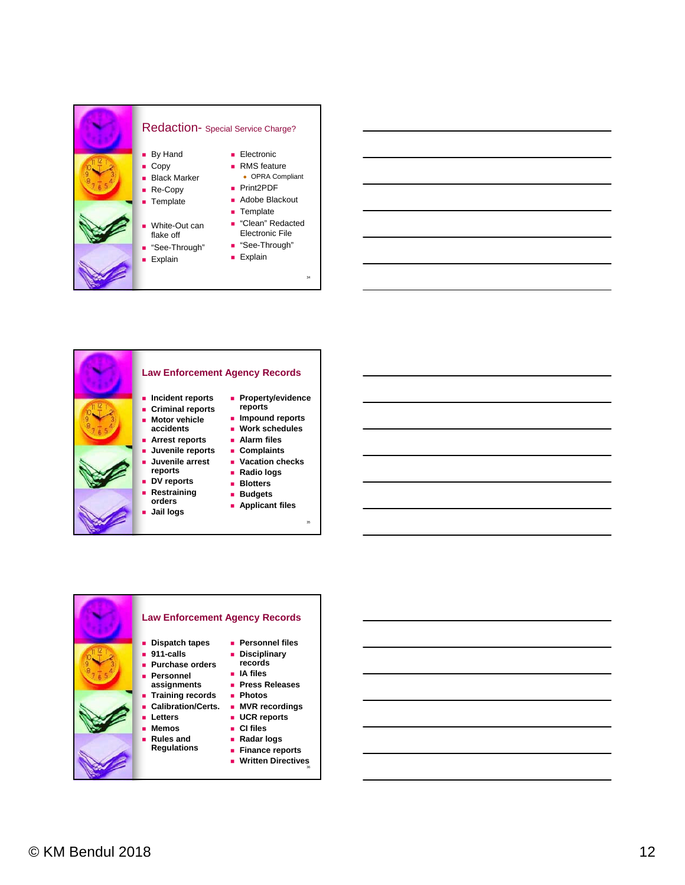#### Redaction- Special Service Charge? **By Hand** ■ Copy **Black Marker** ■ Re-Copy **Template**  White-Out can flake off ■ "See-Through" **Explain Electronic** ■ RMS feature OPRA Compliant ■ Print2PDF ■ Adobe Blackout **Template** ■ "Clean" Redacted Electronic File ■ "See-Through"  $\blacksquare$  Explain

34



## **Law Enforcement Agency Records**

- **Property/evidence reports**
- **Criminal reports Motor vehicle**

**accidents**

**reports DV reports Restraining orders**

- **Impound reports Work schedules**
	- **Alarm files**
	- **Complaints**
	- **Vacation checks**
	- **Radio logs**
	- **Blotters**
	- **Budgets**
	- **Applicant files**

35



## © KM Bendul 2018 12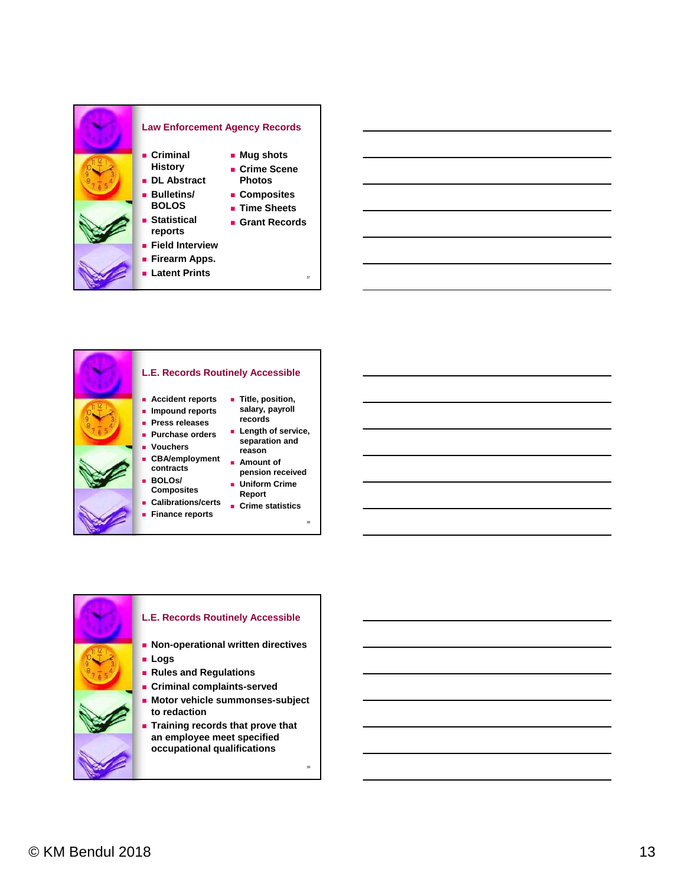

- **Latent Prints**
- 
- 
- **L.E. Records Routinely Accessible Accident reports Impound reports Press releases Purchase orders Vouchers CBA/employment contracts BOLOs/ Composites Calibrations/certs Finance reports records reason Report**
	- **Title, position, salary, payroll**
	- **Length of service, separation and**

37

- **Amount of pension received**
	- **Uniform Crime**
	- **Crime statistics**



- **Rules and Regulations**
- **Criminal complaints-served**
- **Motor vehicle summonses-subject to redaction**
- **Training records that prove that an employee meet specified occupational qualifications**

39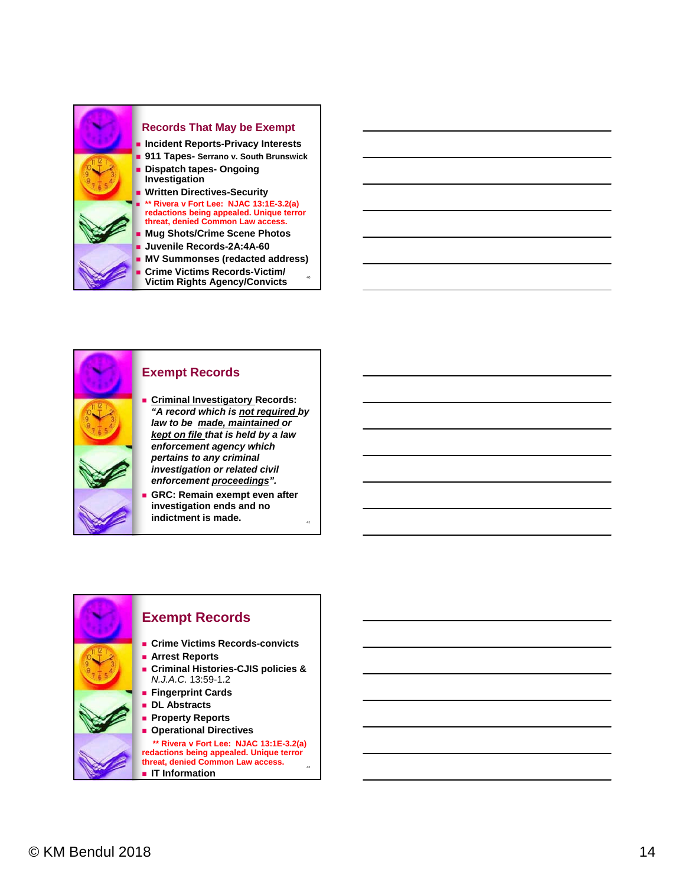



#### **Exempt Records**

- **Criminal Investigatory Records:** *"A record which is not required by law to be made, maintained or kept on file that is held by a law enforcement agency which pertains to any criminal investigation or related civil enforcement proceedings".*
- **GRC: Remain exempt even after investigation ends and no indictment is made.**

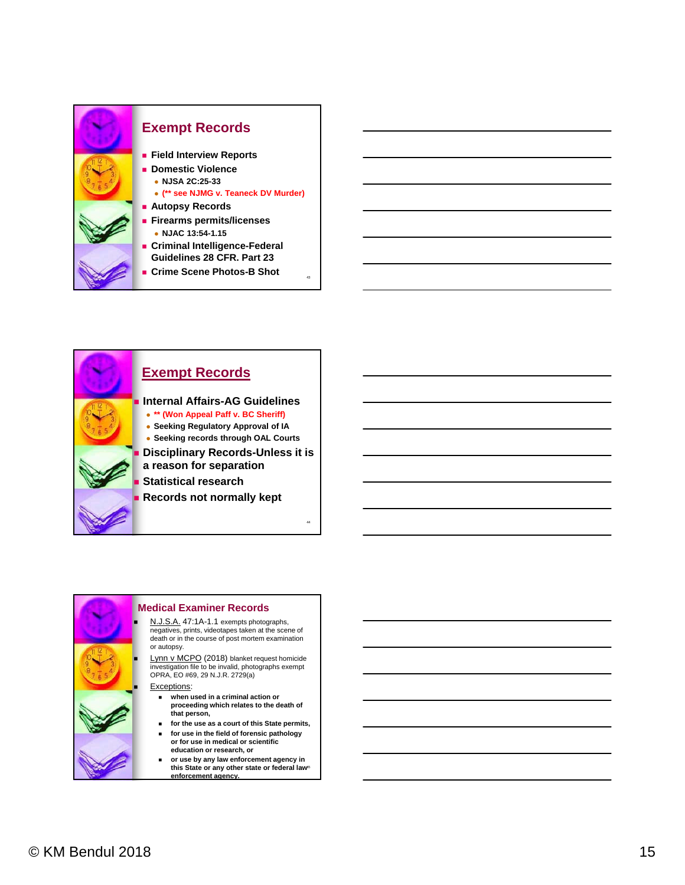



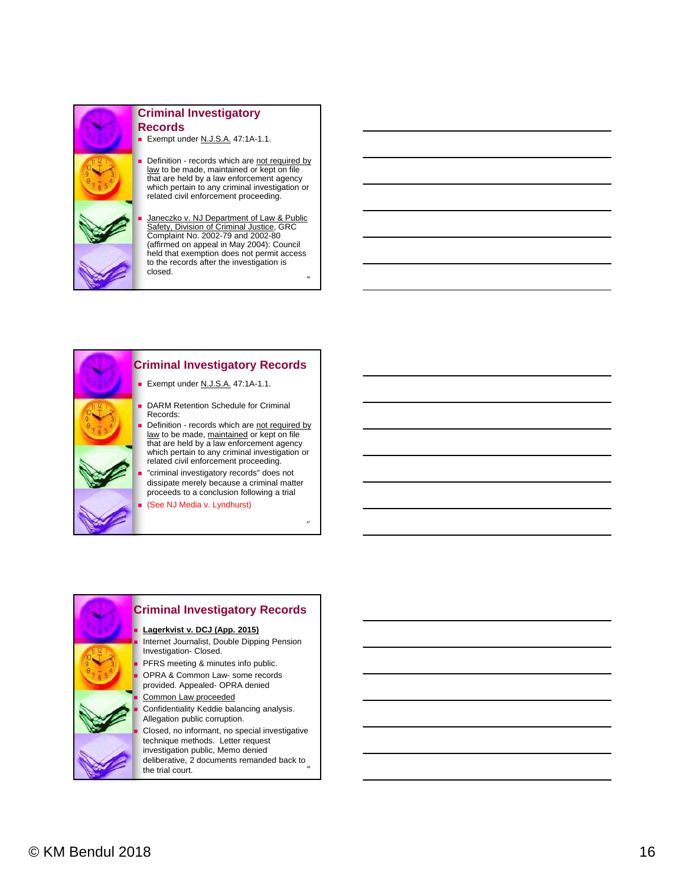

#### **Criminal Investigatory Records**

Exempt under N.J.S.A. 47:1A-1.1.

Definition - records which are not required by law to be made, maintained or kept on file that are held by a law enforcement agency which pertain to any criminal investigation or related civil enforcement proceeding.

 Janeczko v. NJ Department of Law & Public Safety, Division of Criminal Justice, GRC Complaint No. 2002-79 and 2002-80 (affirmed on appeal in May 2004): Council held that exemption does not permit access to the records after the investigation is closed.

46



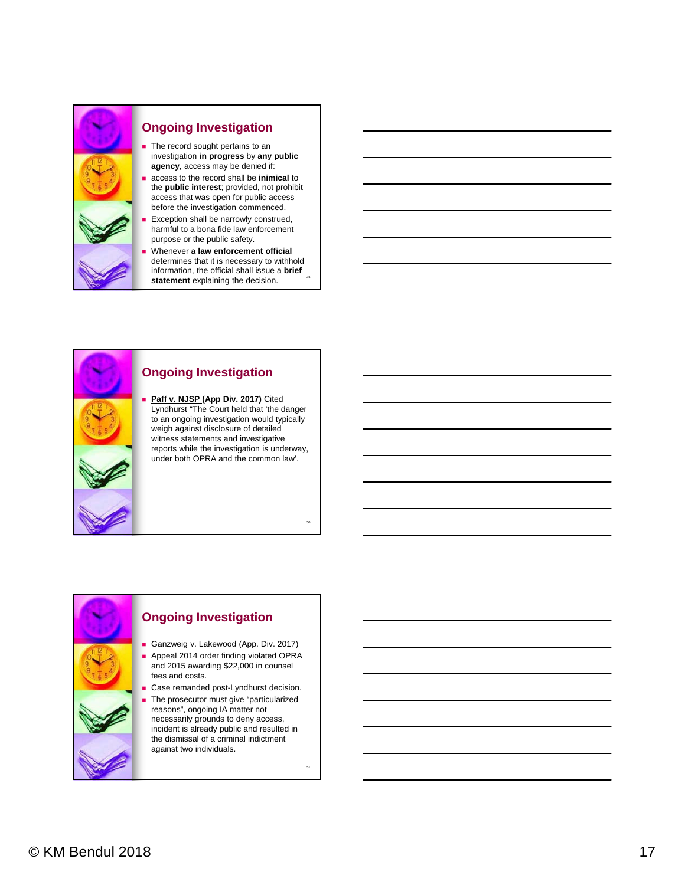

#### **Ongoing Investigation**

- The record sought pertains to an investigation **in progress** by **any public agency**, access may be denied if:
- access to the record shall be **inimical** to the **public interest**; provided, not prohibit access that was open for public access before the investigation commenced.
- Exception shall be narrowly construed, harmful to a bona fide law enforcement purpose or the public safety.
- Whenever a **law enforcement official**  determines that it is necessary to withhold information, the official shall issue a **brief**  statement explaining the decision.

## **Ongoing Investigation Paff v. NJSP (App Div. 2017)** Cited Lyndhurst "The Court held that 'the danger to an ongoing investigation would typically

weigh against disclosure of detailed witness statements and investigative reports while the investigation is underway, under both OPRA and the common law'.

# **Ongoing Investigation** Ganzweig v. Lakewood (App. Div. 2017) fees and costs. against two individuals.

- **Appeal 2014 order finding violated OPRA** and 2015 awarding \$22,000 in counsel
- Case remanded post-Lyndhurst decision.
- The prosecutor must give "particularized reasons", ongoing IA matter not necessarily grounds to deny access, incident is already public and resulted in the dismissal of a criminal indictment

51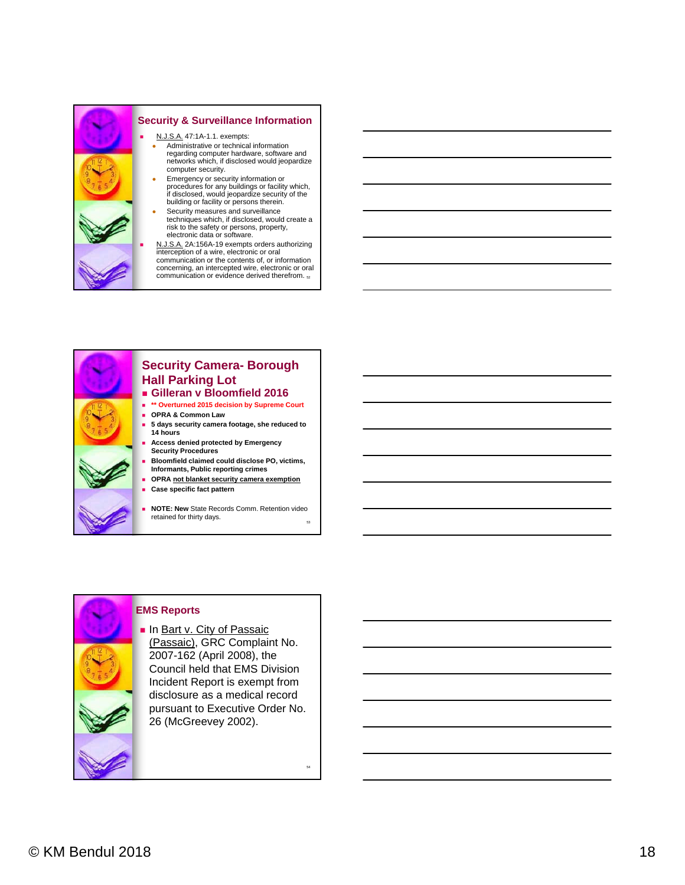





**EMS Reports**

 $\blacksquare$  In Bart v. City of Passaic (Passaic), GRC Complaint No. 2007-162 (April 2008), the Council held that EMS Division Incident Report is exempt from disclosure as a medical record pursuant to Executive Order No. 26 (McGreevey 2002).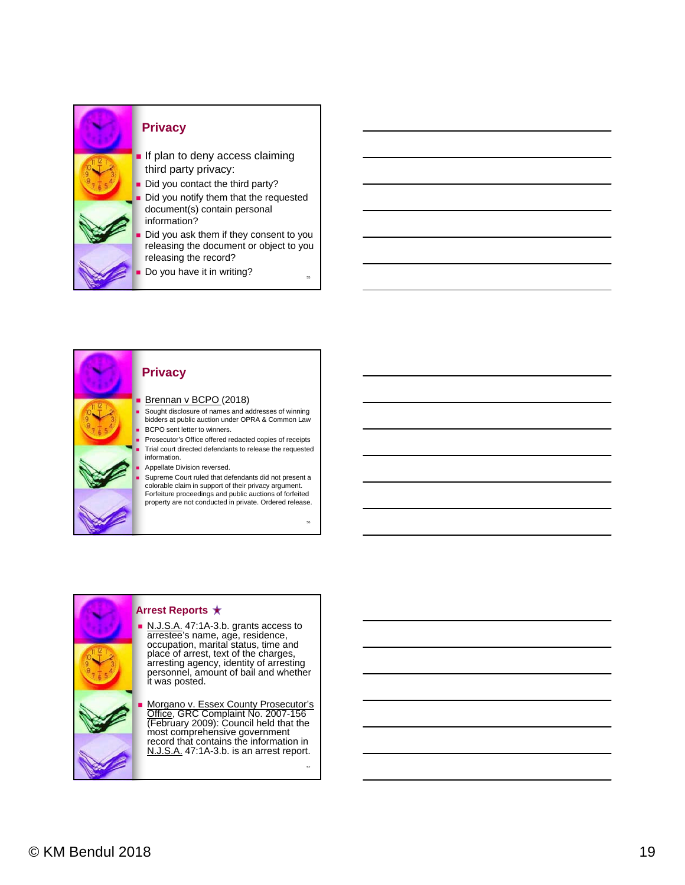



#### **Privacy**

#### Brennan v BCPO (2018)

 Sought disclosure of names and addresses of winning bidders at public auction under OPRA & Common Law BCPO sent letter to winners.

 Prosecutor's Office offered redacted copies of receipts Trial court directed defendants to release the requested information.

Appellate Division reversed.

 Supreme Court ruled that defendants did not present a colorable claim in support of their privacy argument. Forfeiture proceedings and public auctions of forfeited property are not conducted in private. Ordered release.



place of arrest, text of the charges, arresting agency, identity of arresting personnel, amount of bail and whether **Morgano v. Essex County Prosecutor's** 

Office, GRC Complaint No. 2007-156 (February 2009): Council held that the most comprehensive government record that contains the information in N.J.S.A. 47:1A-3.b. is an arrest report.

57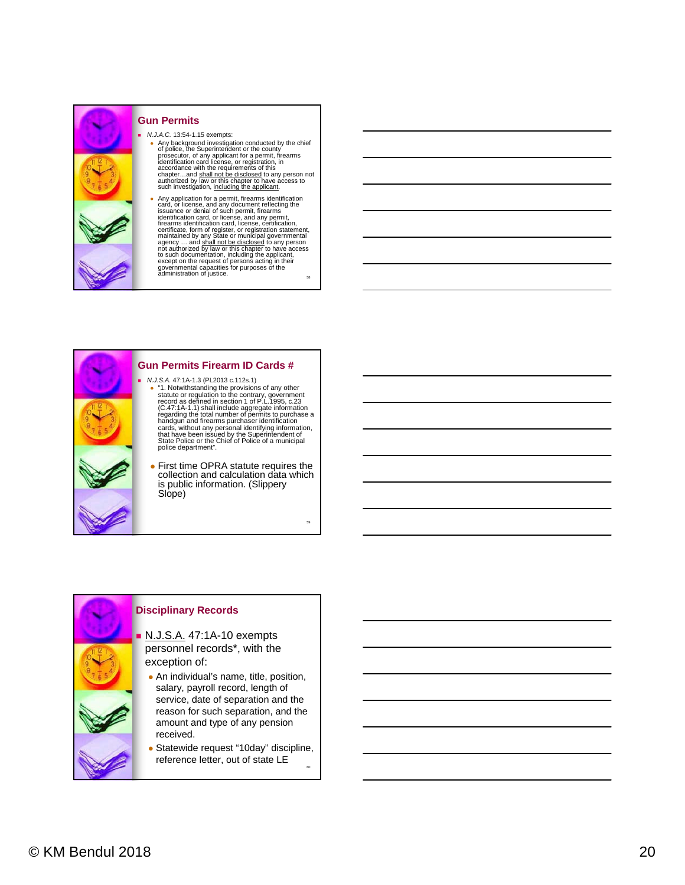

#### **Gun Permits**

 *N.J.A.C.* 13:54-1.15 exempts: • Any background investigation conducted by the chief<br>of police, the Superintendent or the county<br>prosecutor, of any applicant for a permit, firearms<br>dentification card license, or registration, in<br>accordance with the req such investigation, including the applicant.

58 • Any application for a permit, firearms identification for a permit, the issuance or denial of such permit, firearms identification card, or license, and any permit, firearms identification card, license, certification, to such documentation, including the applicant, except on the request of persons acting in their governmental capacities for purposes of the administration of justice.



- "1. Notwithstanding the provisions of any other<br>statute or regulation to the contrary, government<br>record as defined in section 1 of P.L.1995, c.23<br>(C.47:1A-1.1) shall include aggregate information<br>regarding the total nu
- **First time OPRA statute requires the** collection and calculation data which is public information. (Slippery

59

#### **Disciplinary Records**

- N.J.S.A. 47:1A-10 exempts personnel records\*, with the exception of:
- An individual's name, title, position, salary, payroll record, length of service, date of separation and the reason for such separation, and the amount and type of any pension received.
- 60 Statewide request "10day" discipline, reference letter, out of state LE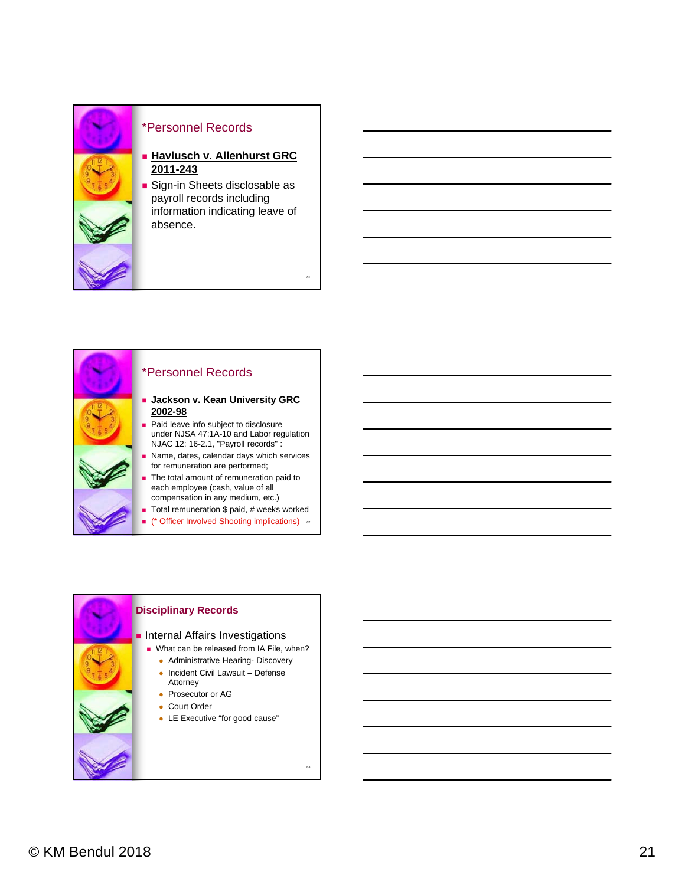

#### \*Personnel Records

**Havlusch v. Allenhurst GRC 2011-243** 

**Sign-in Sheets disclosable as** payroll records including information indicating leave of absence.

61



## \*Personnel Records

- **Jackson v. Kean University GRC 2002-98**
- **Paid leave info subject to disclosure** under NJSA 47:1A-10 and Labor regulation NJAC 12: 16-2.1, "Payroll records" :
- Name, dates, calendar days which services for remuneration are performed;
- The total amount of remuneration paid to each employee (cash, value of all compensation in any medium, etc.)
- Total remuneration \$ paid, # weeks worked
- (\* Officer Involved Shooting implications) <sup>62</sup>

| <b>Disciplinary Records</b>                                                                                                                                                                                                                    |
|------------------------------------------------------------------------------------------------------------------------------------------------------------------------------------------------------------------------------------------------|
| Internal Affairs Investigations<br>■ What can be released from IA File, when?<br>• Administrative Hearing- Discovery<br>• Incident Civil Lawsuit – Defense<br>Attorney<br>• Prosecutor or AG<br>Court Order<br>• LE Executive "for good cause" |
| 63                                                                                                                                                                                                                                             |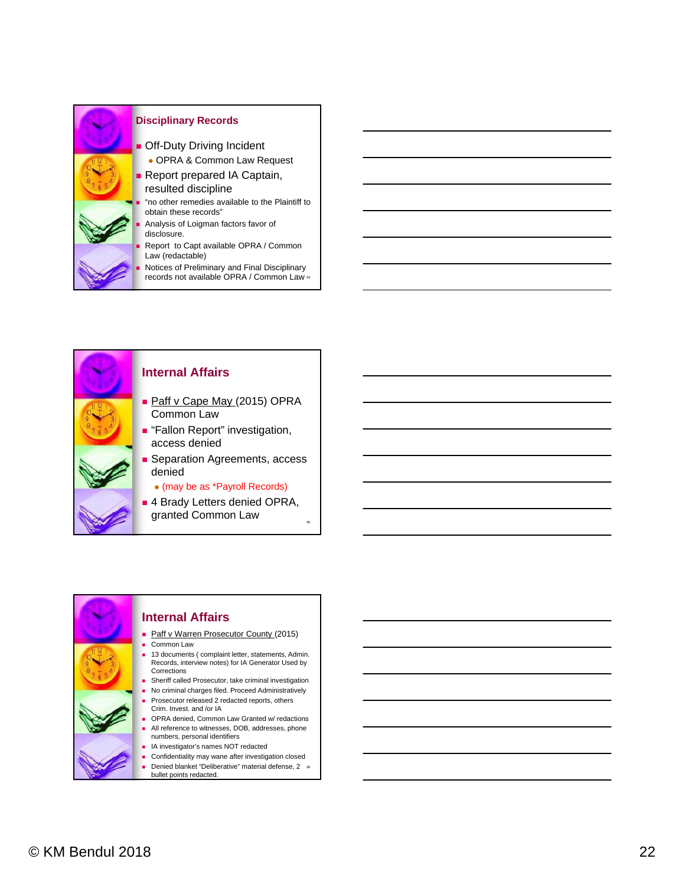



#### **Internal Affairs**

- Paff v Cape May (2015) OPRA Common Law
- **Fallon Report**" investigation, access denied
- **Separation Agreements, access** denied

(may be as \*Payroll Records)

■ 4 Brady Letters denied OPRA, granted Common Law <sup>65</sup>

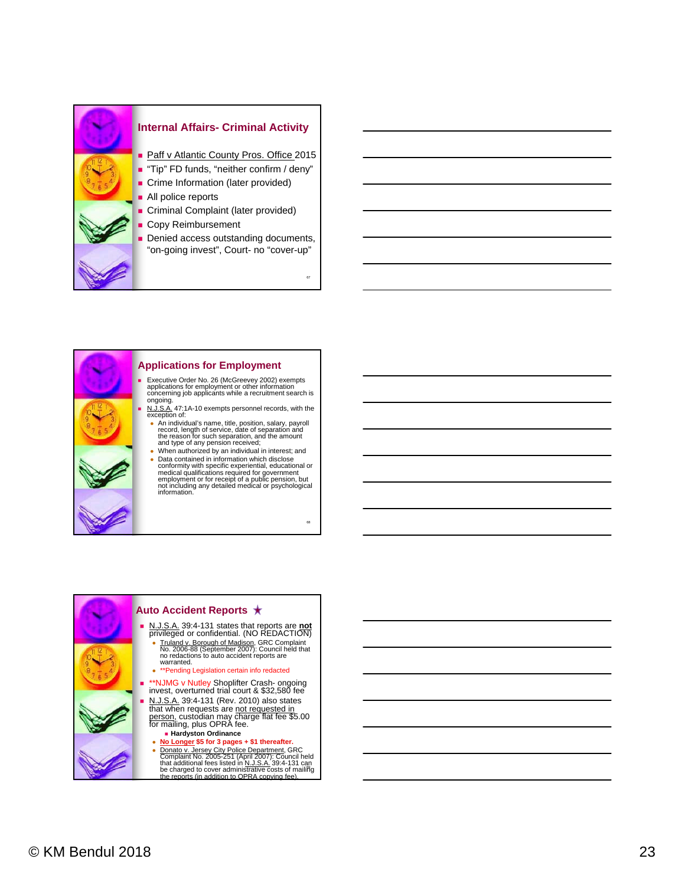





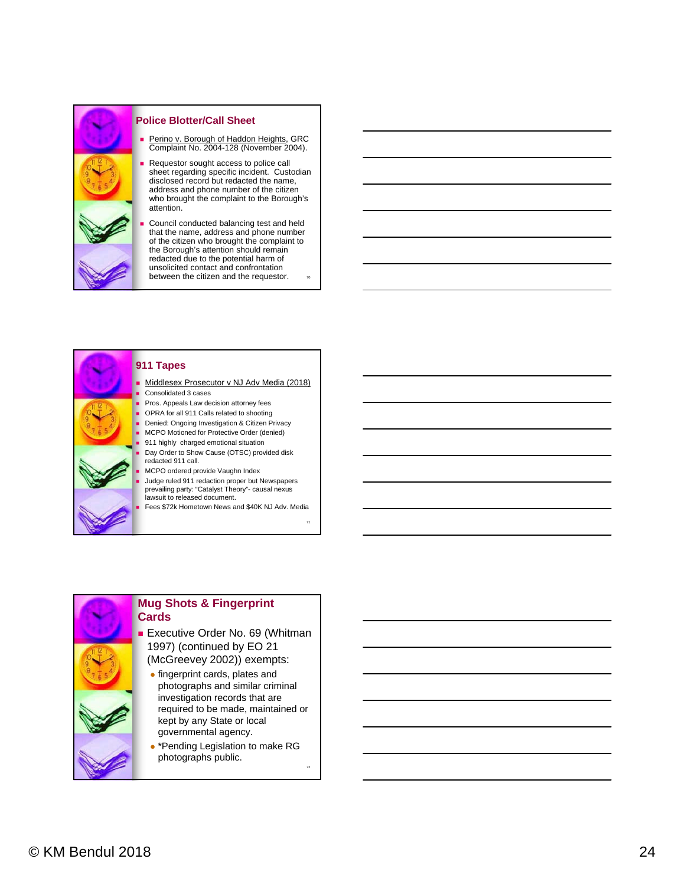

#### **Police Blotter/Call Sheet**

- Perino v. Borough of Haddon Heights, GRC Complaint No. 2004-128 (November 2004).
- Requestor sought access to police call sheet regarding specific incident. Custodian disclosed record but redacted the name, address and phone number of the citizen who brought the complaint to the Borough's attention.
- 70 Council conducted balancing test and held that the name, address and phone number of the citizen who brought the complaint to the Borough's attention should remain redacted due to the potential harm of unsolicited contact and confrontation between the citizen and the requestor.



#### **911 Tapes**

 Middlesex Prosecutor v NJ Adv Media (2018) Consolidated 3 cases

- Pros. Appeals Law decision attorney fees
- OPRA for all 911 Calls related to shooting
- Denied: Ongoing Investigation & Citizen Privacy MCPO Motioned for Protective Order (denied)
- 911 highly charged emotional situation
- Day Order to Show Cause (OTSC) provided disk redacted 911 call.
- MCPO ordered provide Vaughn Index
- Judge ruled 911 redaction proper but Newspapers prevailing party: "Catalyst Theory"- causal nexus lawsuit to released document.
- Fees \$72k Hometown News and \$40K NJ Adv. Media

71

72

**Cards**

## **Mug Shots & Fingerprint**

**Executive Order No. 69 (Whitman** 1997) (continued by EO 21 (McGreevey 2002)) exempts:

- fingerprint cards, plates and photographs and similar criminal investigation records that are required to be made, maintained or kept by any State or local governmental agency.
- \*Pending Legislation to make RG photographs public.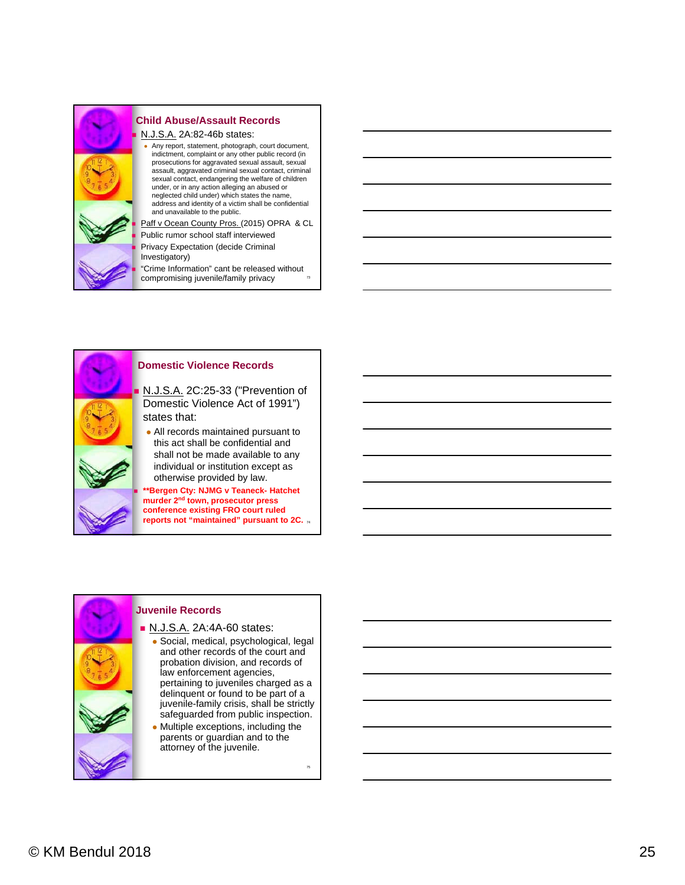

#### **Child Abuse/Assault Records**

N.J.S.A. 2A:82-46b states:

 Any report, statement, photograph, court document, indictment, complaint or any other public record (in prosecutions for aggravated sexual assault, sexual assault, aggravated criminal sexual contact, criminal sexual contact, endangering the welfare of children under, or in any action alleging an abused or neglected child under) which states the name, address and identity of a victim shall be confidential and unavailable to the public.

Paff v Ocean County Pros. (2015) OPRA & CL Public rumor school staff interviewed

 Privacy Expectation (decide Criminal Investigatory)

73 "Crime Information" cant be released without compromising juvenile/family privacy



#### **Domestic Violence Records**

 N.J.S.A. 2C:25-33 ("Prevention of Domestic Violence Act of 1991")

 All records maintained pursuant to this act shall be confidential and shall not be made available to any individual or institution except as otherwise provided by law.

**reports not "maintained" pursuant to 2C.** 74 **Bergen Cty: NJMG v Teaneck- Hatchet murder 2nd town, prosecutor press conference existing FRO court ruled** 

#### **Juvenile Records N.J.S.A. 2A:4A-60 states:**  Social, medical, psychological, legal and other records of the court and probation division, and records of law enforcement agencies, pertaining to juveniles charged as a delinquent or found to be part of a juvenile-family crisis, shall be strictly safeguarded from public inspection.

 Multiple exceptions, including the parents or guardian and to the attorney of the juvenile.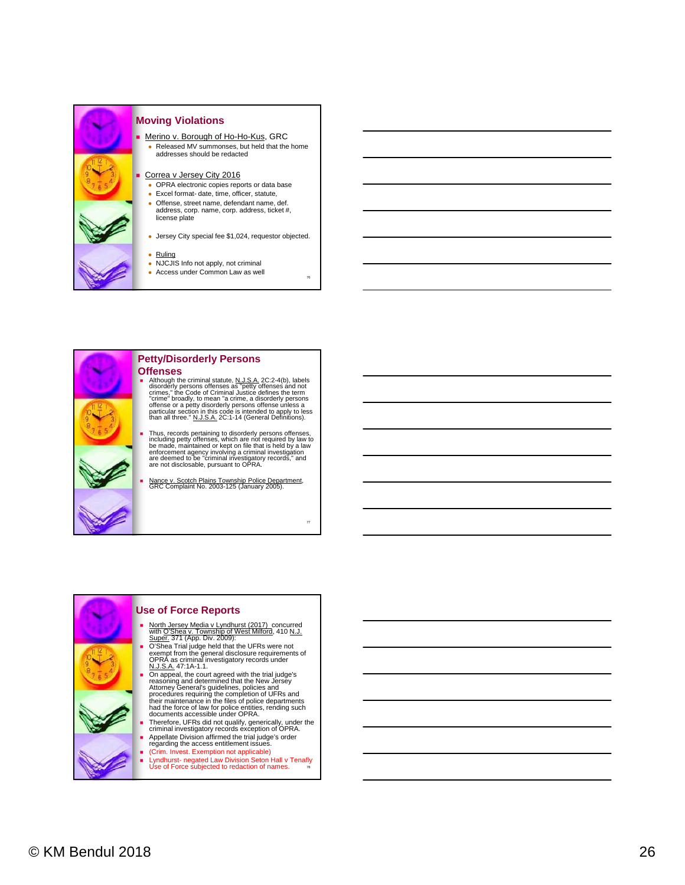

#### **Moving Violations**

 Merino v. Borough of Ho-Ho-Kus, GRC Released MV summonses, but held that the home addresses should be redacted

#### Correa v Jersey City 2016

- OPRA electronic copies reports or data base
- Excel format- date, time, officer, statute,
- Offense, street name, defendant name, def. address, corp. name, corp. address, ticket #, license plate
- Jersey City special fee \$1,024, requestor objected.

76

77

#### • Ruling

- NJCJIS Info not apply, not criminal
- Access under Common Law as well



#### **Petty/Disorderly Persons Offenses**

- Although the criminal statute, N.J.S.A. 2C:2-4(b), labels disorderly persons offenses as "petty offenses and not crimes," the Code of Criminal Justice defines the term<br>"crime" broadly, to mean "a crime, a disorderly persons<br>offense or a petty disorderly persons offense unless a<br>particular section in this code is intended to apply to
- Thus, records pertaining to disorderly persons offenses,<br>including petty offenses, which are not required by law to<br>be made, maintained or kept on file that is held by a law<br>enforcement agency involving a criminal investig
- Nance v. Scotch Plains Township Police Department, GRC Complaint No. 2003-125 (January 2005).



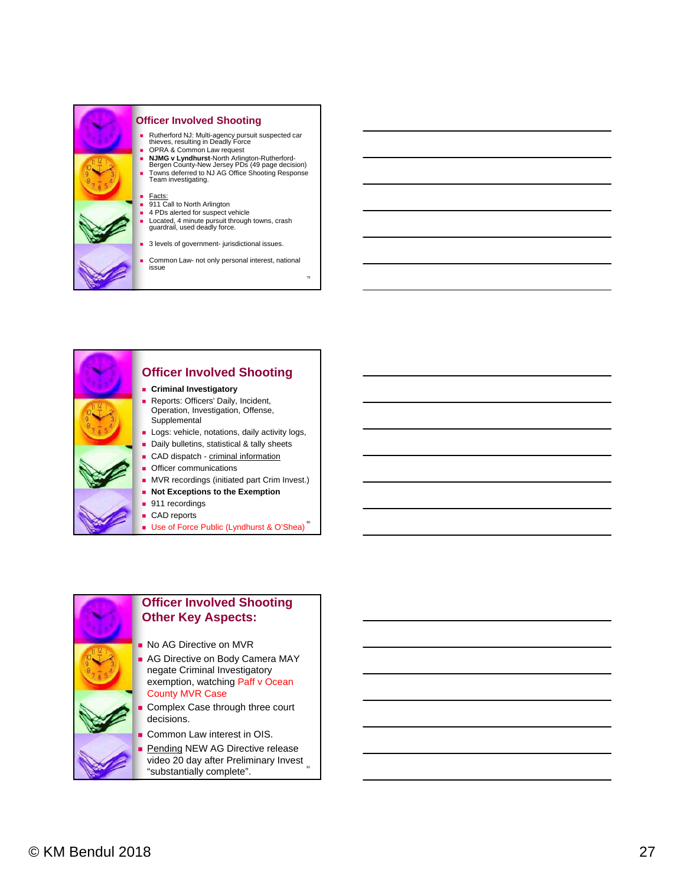

#### **Officer Involved Shooting**

 Rutherford NJ: Multi-agency pursuit suspected car thieves, resulting in Deadly Force OPRA & Common Law request

- 
- **NJMG v Lyndhurst**-North Arlington-Rutherford-Bergen County-New Jersey PDs (49 page decision) Towns deferred to NJ AG Office Shooting Response Team investigating.

- <u>Facts:</u><br>■ 911 Call to North Arlington 4 PDs alerted for suspect vehicle
- 
- Located, 4 minute pursuit through towns, crash guardrail, used deadly force.
- 3 levels of government- jurisdictional issues.
- Common Law- not only personal interest, national issue

79



## **Officer Involved Shooting**

- **Criminal Investigatory**
- Reports: Officers' Daily, Incident, Operation, Investigation, Offense, **Supplemental**
- **Logs: vehicle, notations, daily activity logs,**
- Daily bulletins, statistical & tally sheets
- CAD dispatch criminal information
- **Officer communications**
- **MVR** recordings (initiated part Crim Invest.)
- **Not Exceptions to the Exemption**
- 911 recordings
- CAD reports
- Use of Force Public (Lyndhurst & O'Shea)



video 20 day after Preliminary Invest "substantially complete".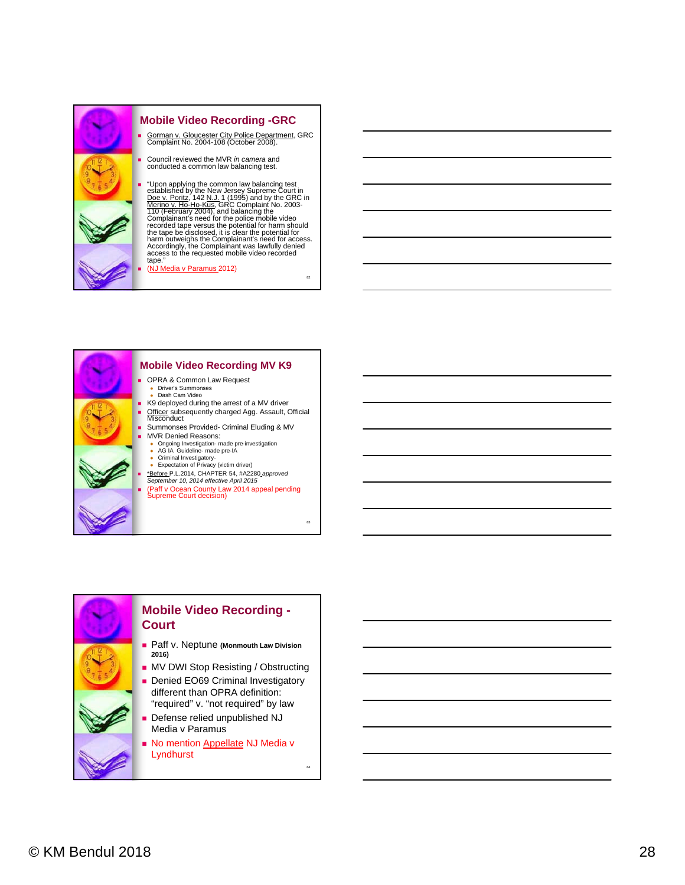

#### **Mobile Video Recording -GRC**

- Gorman v. Gloucester City Police Department, GRC Complaint No. 2004-108 (October 2008).
- Council reviewed the MVR *in camera* and conducted a common law balancing test.

**•** "Upon applying the common law balancing test established by the New Jersey Supreme Court in Doe v. Poritz, 142 N.J. 1 (1995) and by the GRC in Merino v. Ho-Ho-Kus, GRC Complaint No. 2003-110 (February 2004), and balan

82

83

84

(NJ Media v Paramus 2012)





- 
- Summonses Provided- Criminal Eluding & MV
- -
	-
- 
-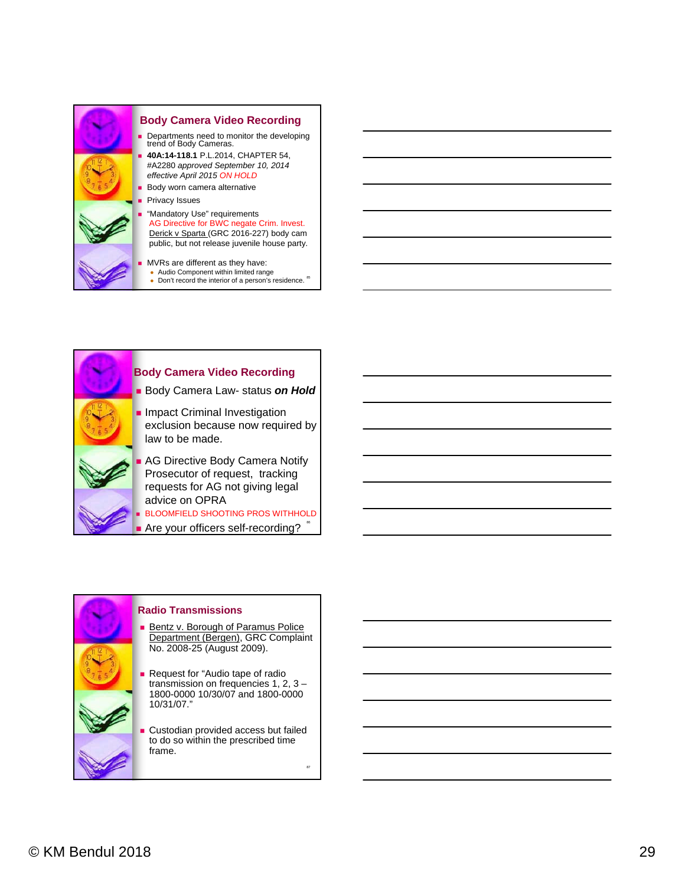



#### **Radio Transmissions**

- **Bentz v. Borough of Paramus Police** Department (Bergen), GRC Complaint No. 2008-25 (August 2009).
- **Request for "Audio tape of radio** transmission on frequencies 1, 2, 3 – 1800-0000 10/30/07 and 1800-0000 10/31/07."
- Custodian provided access but failed to do so within the prescribed time frame.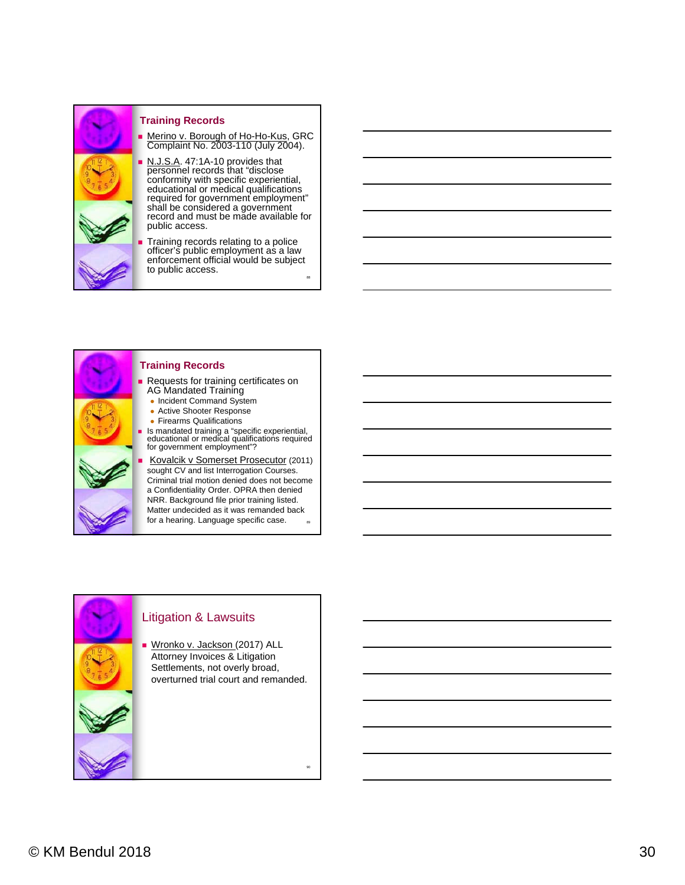

#### **Training Records**

**Merino v. Borough of Ho-Ho-Kus, GRC** Complaint No. 2003-110 (July 2004).

N.J.S.A. 47:1A-10 provides that personnel records that "disclose conformity with specific experiential, educational or medical qualifications required for government employment" shall be considered a government record and must be made available for public access.

 Training records relating to a police officer's public employment as a law enforcement official would be subject to public access.

88

90



#### **Training Records**

**Requests for training certificates on** AG Mandated Training

- Incident Command System
- Active Shooter Response
- Firearms Qualifications
- Is mandated training a "specific experiential, educational or medical qualifications required for government employment"?

89 Kovalcik v Somerset Prosecutor (2011) sought CV and list Interrogation Courses. Criminal trial motion denied does not become a Confidentiality Order. OPRA then denied NRR. Background file prior training listed. Matter undecided as it was remanded back for a hearing. Language specific case.



Attorney Invoices & Litigation Settlements, not overly broad, overturned trial court and remanded.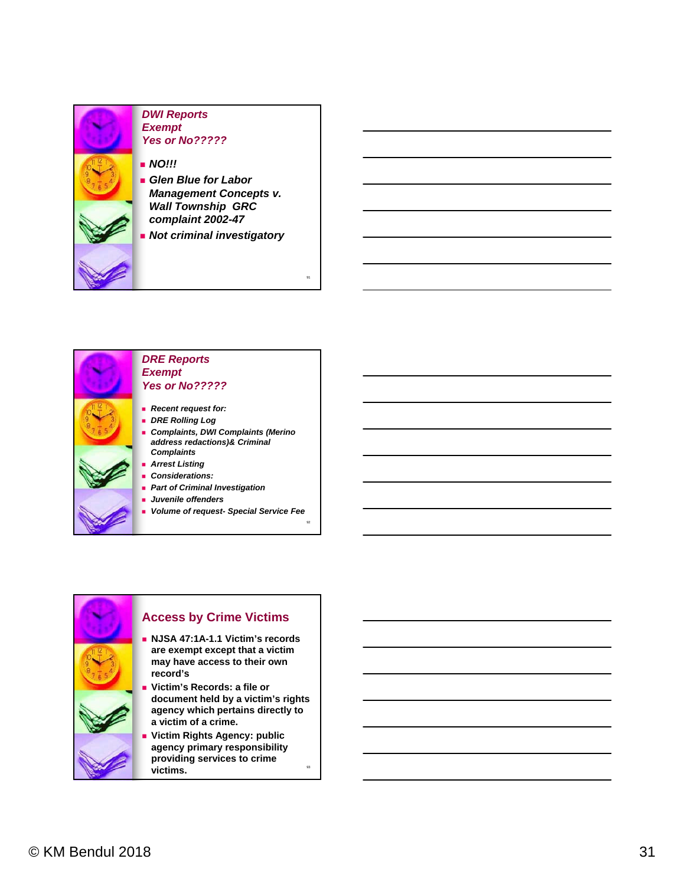

#### *DWI Reports Exempt Yes or No?????*

- *NO!!!*
- *Glen Blue for Labor Management Concepts v. Wall Township GRC complaint 2002-47*
- *Not criminal investigatory*

91

92

93



#### *DRE Reports Exempt Yes or No?????*

- *Recent request for:*
- *DRE Rolling Log Complaints, DWI Complaints (Merino*
- *address redactions)& Criminal Complaints Arrest Listing*
- *Considerations:*
- *Part of Criminal Investigation*
- *Juvenile offenders*
- *Volume of request- Special Service Fee*



#### **Access by Crime Victims**

- **NJSA 47:1A-1.1 Victim's records are exempt except that a victim may have access to their own record's**
- **Victim's Records: a file or document held by a victim's rights agency which pertains directly to a victim of a crime.**
- **Victim Rights Agency: public agency primary responsibility providing services to crime victims.**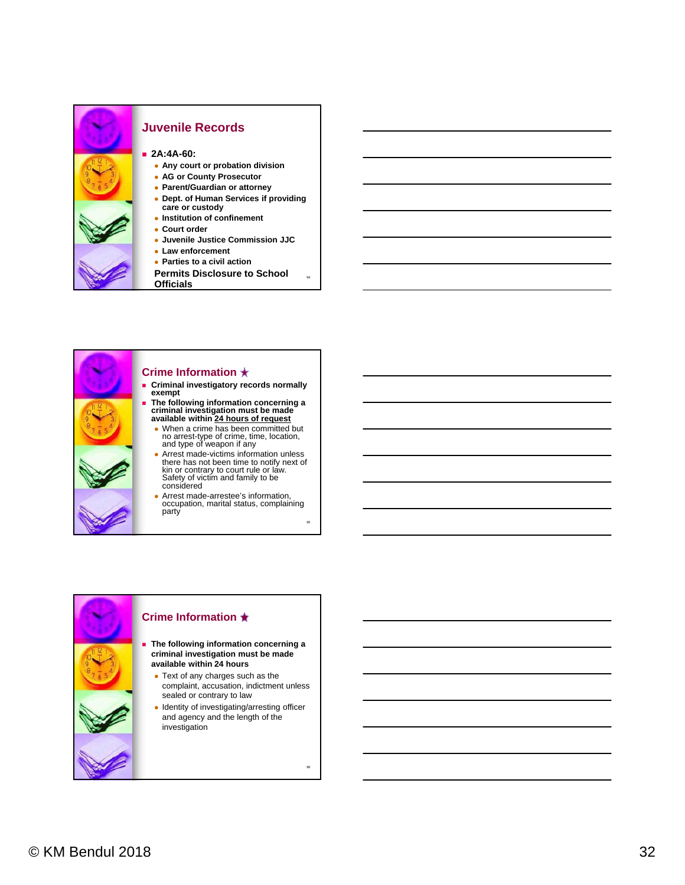

#### **Juvenile Records**

**2A:4A-60:** 

- **Any court or probation division**
- **AG or County Prosecutor**
- **Parent/Guardian or attorney**
- **Dept. of Human Services if providing care or custody Institution of confinement**
- **Court order**
- **Juvenile Justice Commission JJC**
- **Law enforcement**
- **Parties to a civil action**
- **Permits Disclosure to School Officials**

94

95



#### **Crime Information**

- **Criminal investigatory records normally exempt**
- **The following information concerning a criminal investigation must be made available within 24 hours of request**
	- When a crime has been committed but no arrest-type of crime, time, location, and type of weapon if any
	- Arrest made-victims information unless there has not been time to notify next of kin or contrary to court rule or law. Safety of victim and family to be considered
	- Arrest made-arrestee's information, occupation, marital status, complaining party

#### **Crime Information**

- **The following information concerning a criminal investigation must be made available within 24 hours**
	- Text of any charges such as the complaint, accusation, indictment unless sealed or contrary to law
	- Identity of investigating/arresting officer and agency and the length of the investigation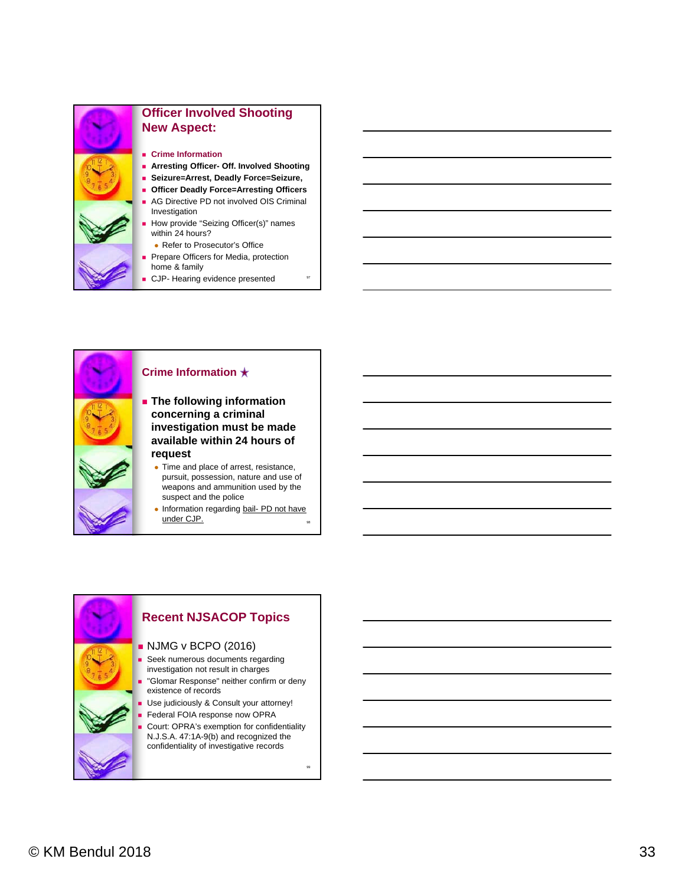

## **Officer Involved Shooting New Aspect:**

- **Crime Information**
- **Arresting Officer- Off. Involved Shooting**
- **Seizure=Arrest, Deadly Force=Seizure,**
- **Officer Deadly Force=Arresting Officers**
- AG Directive PD not involved OIS Criminal Investigation
- How provide "Seizing Officer(s)" names within 24 hours?
	- Refer to Prosecutor's Office
- Prepare Officers for Media, protection home & family
- CJP- Hearing evidence presented



#### **Crime Information**

- **The following information concerning a criminal investigation must be made available within 24 hours of request**
	- Time and place of arrest, resistance, pursuit, possession, nature and use of weapons and ammunition used by the suspect and the police
	- 98 • Information regarding bail- PD not have under CJP.

#### **Recent NJSACOP Topics NJMG v BCPO (2016) Seek numerous documents regarding** investigation not result in charges "Glomar Response" neither confirm or deny existence of records Use judiciously & Consult your attorney! Federal FOIA response now OPRA Court: OPRA's exemption for confidentiality N.J.S.A. 47:1A-9(b) and recognized the confidentiality of investigative records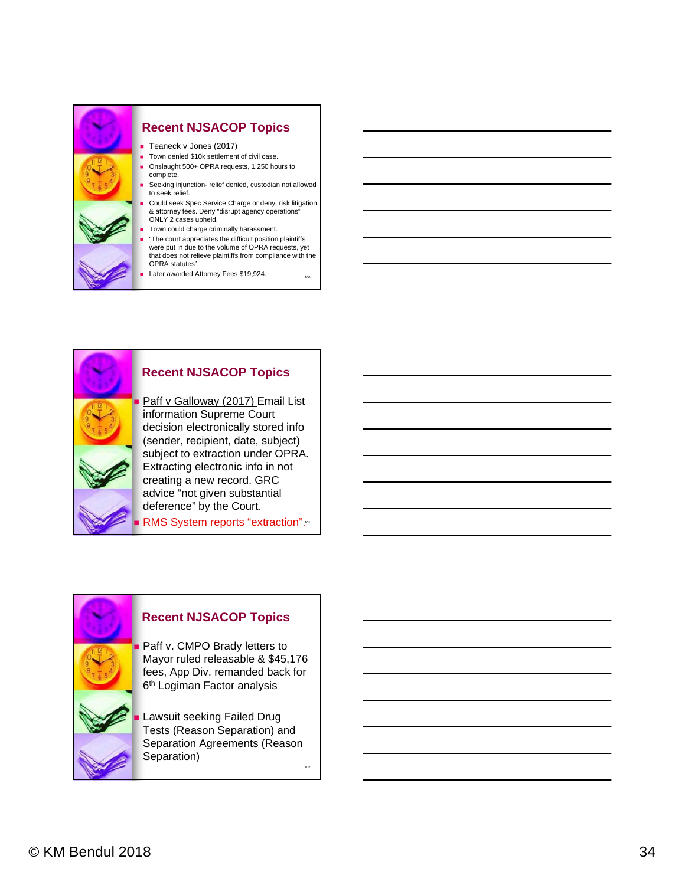

#### **Recent NJSACOP Topics**

 Paff v Galloway (2017) Email List information Supreme Court decision electronically stored info (sender, recipient, date, subject) subject to extraction under OPRA. Extracting electronic info in not creating a new record. GRC advice "not given substantial deference" by the Court.

RMS System reports "extraction".<sup>101</sup>

#### **Recent NJSACOP Topics**

Paff v. CMPO Brady letters to Mayor ruled releasable & \$45,176 fees, App Div. remanded back for 6<sup>th</sup> Logiman Factor analysis

 Lawsuit seeking Failed Drug Tests (Reason Separation) and Separation Agreements (Reason Separation)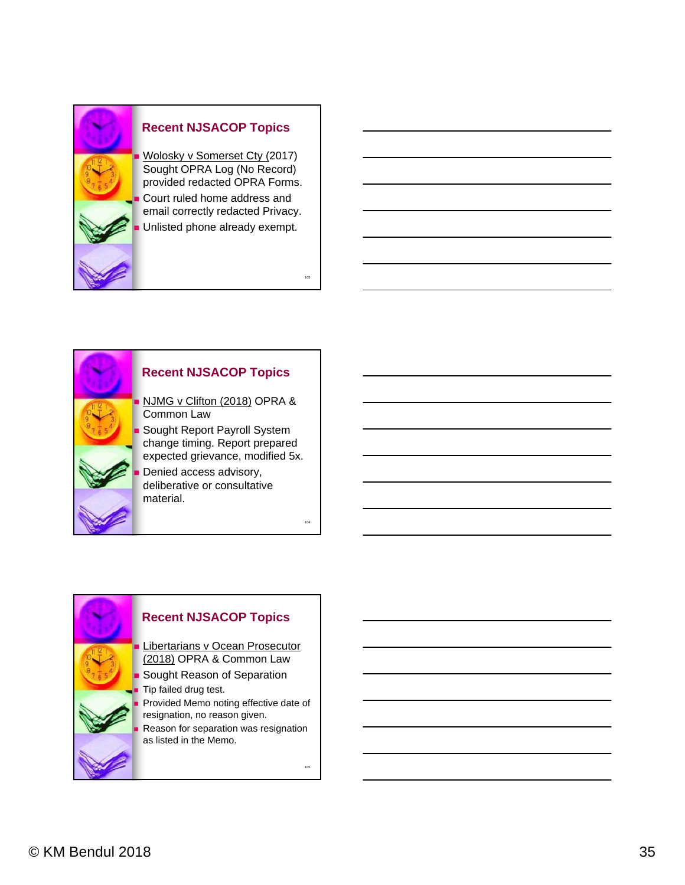



#### **Recent NJSACOP Topics**

NJMG v Clifton (2018) OPRA &

 Sought Report Payroll System change timing. Report prepared expected grievance, modified 5x.

104

105

 Denied access advisory, deliberative or consultative

**Recent NJSACOP Topics** Libertarians v Ocean Prosecutor (2018) OPRA & Common Law Sought Reason of Separation Tip failed drug test. Provided Memo noting effective date of resignation, no reason given. Reason for separation was resignation as listed in the Memo.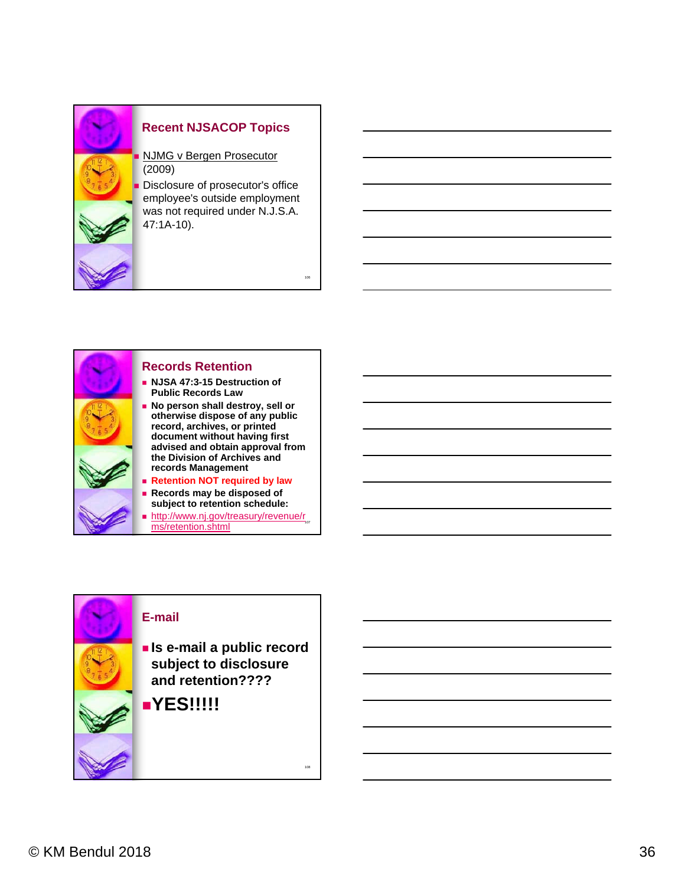



#### **Records Retention**

- **NJSA 47:3-15 Destruction of Public Records Law**
- **No person shall destroy, sell or otherwise dispose of any public record, archives, or printed document without having first advised and obtain approval from the Division of Archives and records Management**

106

108

- **Retention NOT required by law**
- **Records may be disposed of subject to retention schedule:**
- http://www.nj.gov/treasury/revenue/r<sub>oz</sub> ms/retention.shtml

#### **E-mail**

- **Is e-mail a public record subject to disclosure and retention????**
- **YES!!!!!**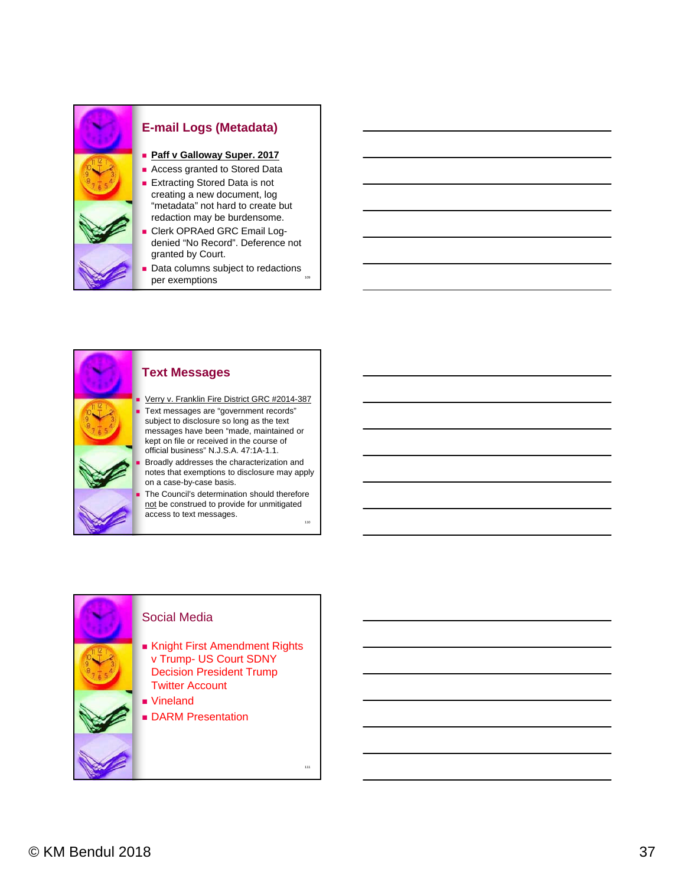

#### **E-mail Logs (Metadata)**

- **Paff v Galloway Super. 2017**
- **Access granted to Stored Data**
- **Extracting Stored Data is not** creating a new document, log "metadata" not hard to create but redaction may be burdensome.
- Clerk OPRAed GRC Email Logdenied "No Record". Deference not granted by Court.
- 109 Data columns subject to redactions per exemptions



#### **Text Messages**

Verry v. Franklin Fire District GRC #2014-387

 Text messages are "government records" subject to disclosure so long as the text messages have been "made, maintained or kept on file or received in the course of official business" N.J.S.A. 47:1A-1.1.

 Broadly addresses the characterization and notes that exemptions to disclosure may apply on a case-by-case basis.

110 The Council's determination should therefore not be construed to provide for unmitigated access to text messages.

#### Social Media

- Knight First Amendment Rights v Trump- US Court SDNY Decision President Trump Twitter Account
- Vineland
- **DARM Presentation**